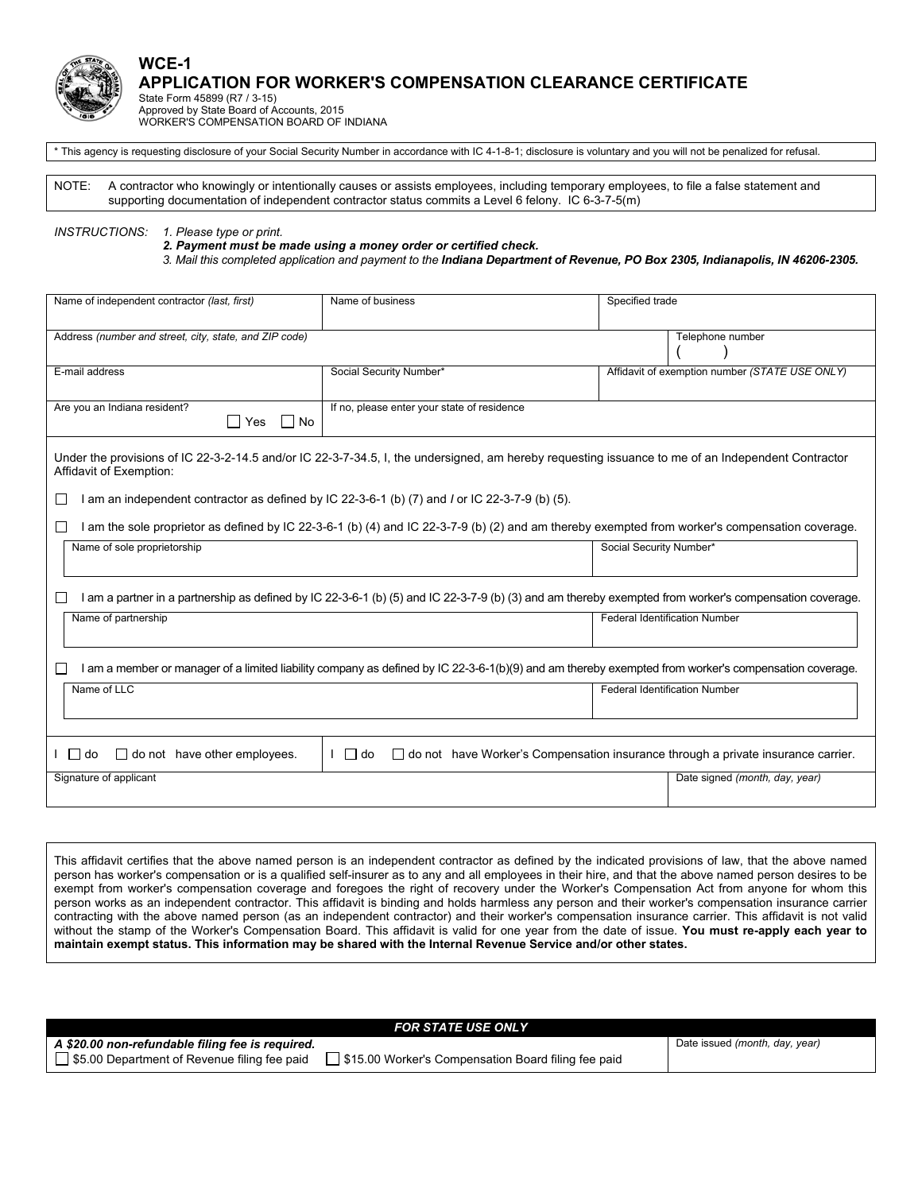

## **APPLICATION FOR WORKER'S COMPENSATION CLEARANCE CERTIFICATE**

State Form 45899 (R7 / 3-15) Approved by State Board of Accounts, 2015 WORKER'S COMPENSATION BOARD OF INDIANA

\* This agency is requesting disclosure of your Social Security Number in accordance with IC 4-1-8-1; disclosure is voluntary and you will not be penalized for refusal.

NOTE: A contractor who knowingly or intentionally causes or assists employees, including temporary employees, to file a false statement and supporting documentation of independent contractor status commits a Level 6 felony. IC 6-3-7-5(m)

*INSTRUCTIONS: 1. Please type or print.* 

**WCE-1** 

 *2. Payment must be made using a money order or certified check.* 

 *3. Mail this completed application and payment to the Indiana Department of Revenue, PO Box 2305, Indianapolis, IN 46206-2305.*

| Name of independent contractor (last, first)                                                                                                                                                                                                      | Name of business                            | Specified trade                                |  |
|---------------------------------------------------------------------------------------------------------------------------------------------------------------------------------------------------------------------------------------------------|---------------------------------------------|------------------------------------------------|--|
| Address (number and street, city, state, and ZIP code)                                                                                                                                                                                            |                                             | Telephone number                               |  |
| E-mail address                                                                                                                                                                                                                                    | Social Security Number*                     | Affidavit of exemption number (STATE USE ONLY) |  |
| Are you an Indiana resident?<br>$\Box$ Yes<br>l INo                                                                                                                                                                                               | If no, please enter your state of residence |                                                |  |
| Under the provisions of IC 22-3-2-14.5 and/or IC 22-3-7-34.5, I, the undersigned, am hereby requesting issuance to me of an Independent Contractor<br>Affidavit of Exemption:                                                                     |                                             |                                                |  |
| I am an independent contractor as defined by IC 22-3-6-1 (b) (7) and I or IC 22-3-7-9 (b) (5).<br>I am the sole proprietor as defined by IC 22-3-6-1 (b) (4) and IC 22-3-7-9 (b) (2) and am thereby exempted from worker's compensation coverage. |                                             |                                                |  |
| Name of sole proprietorship                                                                                                                                                                                                                       |                                             | Social Security Number*                        |  |
| I am a partner in a partnership as defined by IC 22-3-6-1 (b) (5) and IC 22-3-7-9 (b) (3) and am thereby exempted from worker's compensation coverage.                                                                                            |                                             |                                                |  |
| Name of partnership                                                                                                                                                                                                                               |                                             | <b>Federal Identification Number</b>           |  |
| I am a member or manager of a limited liability company as defined by IC 22-3-6-1(b)(9) and am thereby exempted from worker's compensation coverage.                                                                                              |                                             |                                                |  |
| Name of LLC                                                                                                                                                                                                                                       |                                             | <b>Federal Identification Number</b>           |  |
|                                                                                                                                                                                                                                                   |                                             |                                                |  |
| $\Box$ do<br>$\Box$ do not have other employees.<br>$\Box$ do not have Worker's Compensation insurance through a private insurance carrier.<br>$\Box$ do                                                                                          |                                             |                                                |  |
| Signature of applicant                                                                                                                                                                                                                            |                                             | Date signed (month, day, year)                 |  |
|                                                                                                                                                                                                                                                   |                                             |                                                |  |

This affidavit certifies that the above named person is an independent contractor as defined by the indicated provisions of law, that the above named person has worker's compensation or is a qualified self-insurer as to any and all employees in their hire, and that the above named person desires to be exempt from worker's compensation coverage and foregoes the right of recovery under the Worker's Compensation Act from anyone for whom this person works as an independent contractor. This affidavit is binding and holds harmless any person and their worker's compensation insurance carrier contracting with the above named person (as an independent contractor) and their worker's compensation insurance carrier. This affidavit is not valid without the stamp of the Worker's Compensation Board. This affidavit is valid for one year from the date of issue. **You must re-apply each year to maintain exempt status. This information may be shared with the Internal Revenue Service and/or other states.**

| <b>FOR STATE USE ONLY</b>                                                                          |                                |  |  |  |
|----------------------------------------------------------------------------------------------------|--------------------------------|--|--|--|
| A \$20.00 non-refundable filing fee is required.                                                   | Date issued (month, day, year) |  |  |  |
| S5.00 Department of Revenue filing fee paid<br>\$15.00 Worker's Compensation Board filing fee paid |                                |  |  |  |